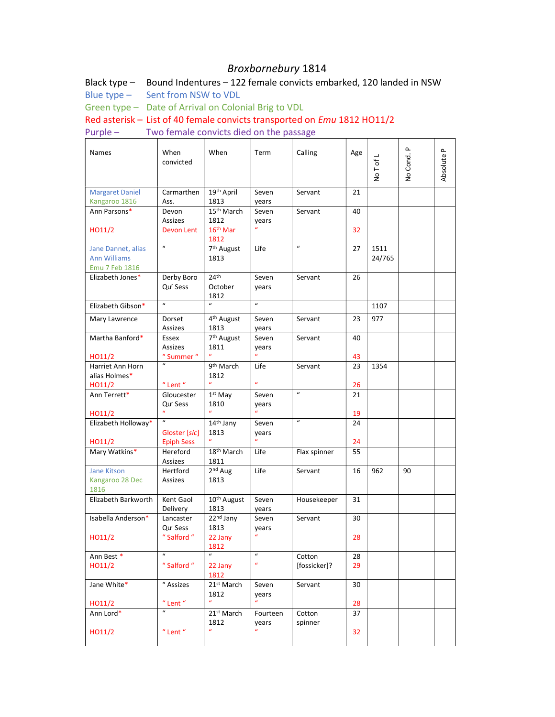## Broxbornebury 1814

Black type – Bound Indentures – 122 female convicts embarked, 120 landed in NSW

Blue type – Sent from NSW to VDL

Green type – Date of Arrival on Colonial Brig to VDL

Red asterisk – List of 40 female convicts transported on Emu 1812 HO11/2

Purple – Two female convicts died on the passage

| Names                  | When<br>convicted                        | When                          | Term                       | Calling                    | Age | No T of L | $\mathbf{r}$<br>No Cond. | $\mathbf{r}$<br>Absolute |  |
|------------------------|------------------------------------------|-------------------------------|----------------------------|----------------------------|-----|-----------|--------------------------|--------------------------|--|
| <b>Margaret Daniel</b> | Carmarthen                               | 19 <sup>th</sup> April        | Seven                      | Servant                    | 21  |           |                          |                          |  |
| Kangaroo 1816          | Ass.                                     | 1813                          | years                      |                            |     |           |                          |                          |  |
| Ann Parsons*           | Devon                                    | 15 <sup>th</sup> March        | Seven                      | Servant                    | 40  |           |                          |                          |  |
|                        | Assizes                                  | 1812                          | years                      |                            |     |           |                          |                          |  |
| HO11/2                 | Devon Lent                               | 16 <sup>th</sup> Mar          |                            |                            | 32  |           |                          |                          |  |
|                        | $\overline{u}$                           | 1812                          |                            | $\overline{u}$             |     |           |                          |                          |  |
| Jane Dannet, alias     |                                          | 7 <sup>th</sup> August        | Life                       |                            | 27  | 1511      |                          |                          |  |
| <b>Ann Williams</b>    |                                          | 1813                          |                            |                            |     | 24/765    |                          |                          |  |
| Emu 7 Feb 1816         |                                          |                               |                            |                            |     |           |                          |                          |  |
| Elizabeth Jones*       | Derby Boro                               | 24 <sup>th</sup>              | Seven                      | Servant                    | 26  |           |                          |                          |  |
|                        | Qu <sup>r</sup> Sess                     | October                       | years                      |                            |     |           |                          |                          |  |
|                        | $\boldsymbol{u}$                         | 1812<br>$\boldsymbol{u}$      | $\boldsymbol{u}$           |                            |     |           |                          |                          |  |
| Elizabeth Gibson*      |                                          |                               |                            |                            |     | 1107      |                          |                          |  |
| Mary Lawrence          | Dorset                                   | 4 <sup>th</sup> August        | Seven                      | Servant                    | 23  | 977       |                          |                          |  |
|                        | Assizes                                  | 1813                          | years                      |                            |     |           |                          |                          |  |
| Martha Banford*        | Essex                                    | 7 <sup>th</sup> August        | Seven                      | Servant                    | 40  |           |                          |                          |  |
|                        | Assizes                                  | 1811                          | years<br>$\mathbf{u}$      |                            |     |           |                          |                          |  |
| HO11/2                 | " Summer "                               |                               |                            |                            | 43  |           |                          |                          |  |
| Harriet Ann Horn       |                                          | 9 <sup>th</sup> March         | Life                       | Servant                    | 23  | 1354      |                          |                          |  |
| alias Holmes*          |                                          | 1812<br>$\boldsymbol{u}$      | $\boldsymbol{u}$           |                            |     |           |                          |                          |  |
| HO11/2                 | $"$ Lent $"$                             |                               |                            | $\boldsymbol{\mathcal{U}}$ | 26  |           |                          |                          |  |
| Ann Terrett*           | Gloucester                               | $1st$ May                     | Seven                      |                            | 21  |           |                          |                          |  |
|                        | Qu <sup>r</sup> Sess<br>$\boldsymbol{u}$ | 1810<br>$\boldsymbol{u}$      | years<br>$\boldsymbol{u}$  |                            |     |           |                          |                          |  |
| HO11/2                 | $\boldsymbol{u}$                         |                               |                            | $\boldsymbol{u}$           | 19  |           |                          |                          |  |
| Elizabeth Holloway*    |                                          | 14 <sup>th</sup> Jany<br>1813 | Seven                      |                            | 24  |           |                          |                          |  |
| HO11/2                 | Gloster [sic]<br><b>Epiph Sess</b>       |                               | years                      |                            | 24  |           |                          |                          |  |
| Mary Watkins*          | Hereford                                 | 18 <sup>th</sup> March        | Life                       | Flax spinner               | 55  |           |                          |                          |  |
|                        | Assizes                                  | 1811                          |                            |                            |     |           |                          |                          |  |
| <b>Jane Kitson</b>     | Hertford                                 | 2 <sup>nd</sup> Aug           | Life                       | Servant                    | 16  | 962       | 90                       |                          |  |
| Kangaroo 28 Dec        | Assizes                                  | 1813                          |                            |                            |     |           |                          |                          |  |
| 1816                   |                                          |                               |                            |                            |     |           |                          |                          |  |
| Elizabeth Barkworth    | Kent Gaol                                | 10 <sup>th</sup> August       | Seven                      | Housekeeper                | 31  |           |                          |                          |  |
|                        | Delivery                                 | 1813                          | years                      |                            |     |           |                          |                          |  |
| Isabella Anderson*     | Lancaster                                | 22 <sup>nd</sup> Jany         | Seven                      | Servant                    | 30  |           |                          |                          |  |
|                        | Qu <sup>r</sup> Sess                     | 1813                          | years                      |                            |     |           |                          |                          |  |
| HO11/2                 | " Salford "                              | 22 Jany                       | $\boldsymbol{u}$           |                            | 28  |           |                          |                          |  |
|                        |                                          | 1812                          |                            |                            |     |           |                          |                          |  |
| Ann Best *             | $\boldsymbol{u}$                         | $\boldsymbol{u}$              | $\boldsymbol{\mathcal{U}}$ | Cotton                     | 28  |           |                          |                          |  |
| HO11/2                 | " Salford "                              | 22 Jany                       | $\boldsymbol{u}$           | [fossicker]?               | 29  |           |                          |                          |  |
|                        |                                          | 1812                          |                            |                            |     |           |                          |                          |  |
| Jane White*            | " Assizes                                | 21st March                    | Seven                      | Servant                    | 30  |           |                          |                          |  |
|                        |                                          | 1812                          | years                      |                            |     |           |                          |                          |  |
| HO11/2                 | $"$ Lent $"$                             | $\boldsymbol{u}$              | $\boldsymbol{u}$           |                            | 28  |           |                          |                          |  |
| Ann Lord*              | $\boldsymbol{u}$                         | 21 <sup>st</sup> March        | Fourteen                   | Cotton                     | 37  |           |                          |                          |  |
|                        |                                          | 1812                          | years                      | spinner                    |     |           |                          |                          |  |
| HO11/2                 | $"$ Lent $"$                             | $\boldsymbol{u}$              |                            |                            | 32  |           |                          |                          |  |
|                        |                                          |                               |                            |                            |     |           |                          |                          |  |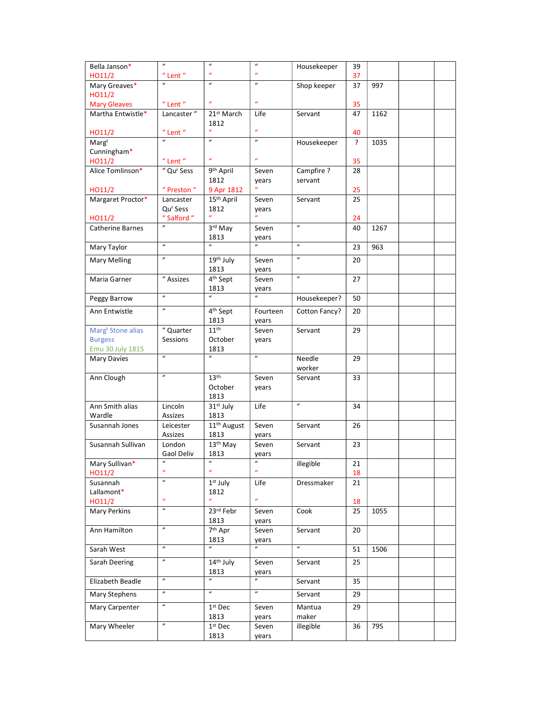| Bella Janson*                 | $\boldsymbol{u}$                         | $\boldsymbol{u}$             | $\boldsymbol{u}$          | Housekeeper                | 39 |      |  |
|-------------------------------|------------------------------------------|------------------------------|---------------------------|----------------------------|----|------|--|
| HO11/2                        | $"$ Lent $"$                             | $\boldsymbol{u}$             | $\boldsymbol{u}$          |                            | 37 |      |  |
| Mary Greaves*                 |                                          | $\boldsymbol{u}$             | $\boldsymbol{u}$          | Shop keeper                | 37 | 997  |  |
| HO11/2                        |                                          |                              |                           |                            |    |      |  |
| <b>Mary Gleaves</b>           | $^{\prime\prime}$ Lent $^{\prime\prime}$ | $\boldsymbol{u}$             | $\boldsymbol{a}$          |                            | 35 |      |  |
| Martha Entwistle*             | Lancaster"                               | 21st March                   | Life                      | Servant                    | 47 | 1162 |  |
|                               |                                          | 1812                         |                           |                            |    |      |  |
| HO11/2                        | $^{\prime\prime}$ Lent $^{\prime\prime}$ |                              | $\boldsymbol{u}$          |                            | 40 |      |  |
| Margt                         |                                          |                              | $\boldsymbol{u}$          | Housekeeper                | ?  | 1035 |  |
| Cunningham*                   |                                          |                              |                           |                            |    |      |  |
| HO11/2                        | $"$ Lent $"$                             | $\boldsymbol{u}$             | $\boldsymbol{u}$          |                            | 35 |      |  |
| Alice Tomlinson*              | " Qur Sess                               | 9th April                    | Seven                     | Campfire ?                 | 28 |      |  |
|                               |                                          | 1812                         | years                     | servant                    |    |      |  |
| HO11/2                        | " Preston "                              | 9 Apr 1812                   | $\boldsymbol{u}$          |                            | 25 |      |  |
| Margaret Proctor*             | Lancaster                                | 15 <sup>th</sup> April       | Seven                     | Servant                    | 25 |      |  |
|                               | Qu <sup>r</sup> Sess                     | 1812                         | years                     |                            |    |      |  |
| HO11/2                        | " Salford "                              | $\boldsymbol{u}$             | $\boldsymbol{u}$          |                            | 24 |      |  |
| <b>Catherine Barnes</b>       |                                          | 3rd May                      | Seven                     | $\boldsymbol{u}$           | 40 | 1267 |  |
|                               |                                          | 1813                         | years                     |                            |    |      |  |
| Mary Taylor                   | $\boldsymbol{u}$                         | $\boldsymbol{u}$             |                           | $\boldsymbol{u}$           | 23 | 963  |  |
| Mary Melling                  | $\boldsymbol{u}$                         | 19th July                    | Seven                     | $\boldsymbol{\mathcal{U}}$ | 20 |      |  |
|                               |                                          | 1813                         | years                     |                            |    |      |  |
| Maria Garner                  | " Assizes                                | 4 <sup>th</sup> Sept         | Seven                     | $\boldsymbol{\mathcal{U}}$ | 27 |      |  |
|                               |                                          | 1813                         | years                     |                            |    |      |  |
| Peggy Barrow                  | $\overline{u}$                           | $\overline{u}$               | $\overline{u}$            | Housekeeper?               | 50 |      |  |
|                               |                                          |                              |                           |                            |    |      |  |
| Ann Entwistle                 | $\overline{u}$                           | 4 <sup>th</sup> Sept<br>1813 | Fourteen<br>years         | Cotton Fancy?              | 20 |      |  |
| Marg <sup>t</sup> Stone alias | $\overline{a}$ Quarter                   | 11 <sup>th</sup>             | Seven                     | Servant                    | 29 |      |  |
| <b>Burgess</b>                | Sessions                                 | October                      | years                     |                            |    |      |  |
| Emu 30 July 1815              |                                          | 1813                         |                           |                            |    |      |  |
|                               |                                          |                              |                           |                            |    |      |  |
| Mary Davies                   | $\overline{u}$                           | $\overline{u}$               | $\overline{u}$            | Needle                     | 29 |      |  |
|                               |                                          |                              |                           | worker                     |    |      |  |
| Ann Clough                    | $\boldsymbol{u}$                         | 13 <sup>th</sup>             | Seven                     | Servant                    | 33 |      |  |
|                               |                                          | October                      | years                     |                            |    |      |  |
|                               |                                          | 1813                         |                           |                            |    |      |  |
| Ann Smith alias               | Lincoln                                  | 31st July                    | Life                      | $\overline{u}$             | 34 |      |  |
| Wardle                        | Assizes                                  | 1813                         |                           |                            |    |      |  |
| Susannah Jones                | Leicester                                | 11 <sup>th</sup> August      | Seven                     | Servant                    | 26 |      |  |
|                               | Assizes                                  | 1813                         | years                     |                            |    |      |  |
| Susannah Sullivan             | London                                   | 13 <sup>th</sup> May         | Seven                     | Servant                    | 23 |      |  |
|                               | Gaol Deliv                               | 1813                         | years                     |                            |    |      |  |
| Mary Sullivan*                | $\boldsymbol{u}$                         | $\boldsymbol{\mathcal{U}}$   | $\boldsymbol{u}$          | illegible                  | 21 |      |  |
| HO11/2                        | $\boldsymbol{u}$                         | $\boldsymbol{u}$             | $\boldsymbol{u}$          |                            | 18 |      |  |
| Susannah                      | $\boldsymbol{u}$                         | $1st$ July                   | Life                      | Dressmaker                 | 21 |      |  |
| Lallamont*                    |                                          | 1812                         |                           |                            |    |      |  |
| HO11/2                        | $\boldsymbol{u}$                         |                              | $\boldsymbol{u}$          |                            | 18 |      |  |
| Mary Perkins                  | $\boldsymbol{u}$                         | 23rd Febr                    | Seven                     | Cook                       | 25 | 1055 |  |
|                               |                                          | 1813                         | years                     |                            |    |      |  |
| Ann Hamilton                  | $\boldsymbol{u}$                         | $7th$ Apr                    | Seven                     | Servant                    | 20 |      |  |
|                               |                                          | 1813                         | years                     |                            |    |      |  |
| Sarah West                    | $\overline{u}$                           | $\overline{u}$               | $\boldsymbol{u}$          | $\overline{u}$             | 51 | 1506 |  |
| Sarah Deering                 | $\boldsymbol{u}$                         | 14 <sup>th</sup> July        | Seven                     | Servant                    | 25 |      |  |
|                               | $\overline{u}$                           | 1813<br>$\overline{u}$       | years<br>$\boldsymbol{u}$ |                            |    |      |  |
| Elizabeth Beadle              |                                          |                              |                           | Servant                    | 35 |      |  |
| Mary Stephens                 | $\boldsymbol{u}$                         | $\overline{u}$               | $\overline{u}$            | Servant                    | 29 |      |  |
| Mary Carpenter                | $\boldsymbol{u}$                         | 1st Dec                      | Seven                     | Mantua                     | 29 |      |  |
|                               |                                          | 1813                         | years                     | maker                      |    |      |  |
| Mary Wheeler                  | $\overline{u}$                           | $1st$ Dec                    | Seven                     | illegible                  | 36 | 795  |  |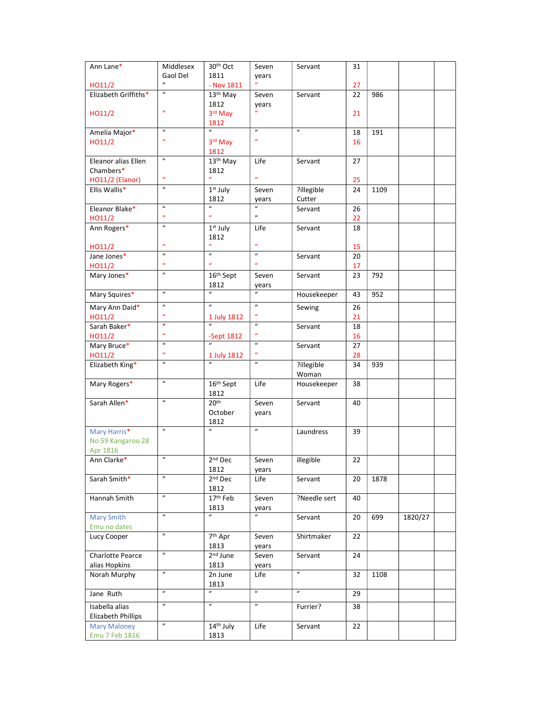| Ann Lane*            | Middlesex        | 30th Oct                    | Seven                     | Servant          | 31 |      |         |  |
|----------------------|------------------|-----------------------------|---------------------------|------------------|----|------|---------|--|
|                      | Gaol Del         | 1811                        | years                     |                  |    |      |         |  |
| HO11/2               | $\boldsymbol{u}$ | - Nov 1811                  |                           |                  | 27 |      |         |  |
| Elizabeth Griffiths* | $\boldsymbol{u}$ | 13 <sup>th</sup> May        | Seven                     | Servant          | 22 | 986  |         |  |
|                      |                  | 1812                        | years                     |                  |    |      |         |  |
| HO11/2               | $\boldsymbol{u}$ | 3rd May                     | $\boldsymbol{u}$          |                  | 21 |      |         |  |
|                      |                  | 1812                        |                           |                  |    |      |         |  |
| Amelia Major*        | $\boldsymbol{u}$ | $\boldsymbol{u}$            | $\overline{u}$            | $\boldsymbol{u}$ | 18 | 191  |         |  |
| HO11/2               | $\boldsymbol{u}$ | 3rd May                     | $\boldsymbol{u}$          |                  | 16 |      |         |  |
|                      |                  | 1812                        |                           |                  |    |      |         |  |
| Eleanor alias Ellen  | $\boldsymbol{u}$ | 13 <sup>th</sup> May        | Life                      | Servant          | 27 |      |         |  |
| Chambers*            | $\boldsymbol{u}$ | 1812<br>$\boldsymbol{u}$    | $\boldsymbol{a}$          |                  |    |      |         |  |
| HO11/2 (Elanor)      | $\boldsymbol{u}$ |                             |                           |                  | 25 |      |         |  |
| Ellis Wallis*        |                  | 1st July                    | Seven                     | ?illegible       | 24 | 1109 |         |  |
|                      | $\overline{u}$   | 1812<br>$\boldsymbol{u}$    | years                     | Cutter           |    |      |         |  |
| Eleanor Blake*       | $\boldsymbol{u}$ | $\boldsymbol{u}$            | $\boldsymbol{u}$          | Servant          | 26 |      |         |  |
| HO11/2               | $\boldsymbol{u}$ |                             |                           |                  | 22 |      |         |  |
| Ann Rogers*          |                  | 1st July                    | Life                      | Servant          | 18 |      |         |  |
|                      | $\boldsymbol{u}$ | 1812                        | $\boldsymbol{u}$          |                  |    |      |         |  |
| HO11/2               | $\boldsymbol{u}$ | $\boldsymbol{u}$            | $\boldsymbol{u}$          |                  | 15 |      |         |  |
| Jane Jones*          | $\boldsymbol{u}$ | $\boldsymbol{u}$            | $\boldsymbol{u}$          | Servant          | 20 |      |         |  |
| HO11/2               | $\boldsymbol{u}$ |                             |                           |                  | 17 |      |         |  |
| Mary Jones*          |                  | 16th Sept                   | Seven                     | Servant          | 23 | 792  |         |  |
|                      | $\boldsymbol{u}$ | 1812                        | years<br>$\boldsymbol{u}$ |                  |    |      |         |  |
| Mary Squires*        |                  |                             |                           | Housekeeper      | 43 | 952  |         |  |
| Mary Ann Daid*       | $\boldsymbol{u}$ | $\boldsymbol{u}$            | $\boldsymbol{u}$          | Sewing           | 26 |      |         |  |
| HO11/2               | $\boldsymbol{u}$ | 1 July 1812                 | $\boldsymbol{u}$          |                  | 21 |      |         |  |
| Sarah Baker*         | $\boldsymbol{u}$ |                             | $\boldsymbol{u}$          | Servant          | 18 |      |         |  |
| HO11/2               | $\boldsymbol{u}$ | -Sept $1812$                | $\boldsymbol{u}$          |                  | 16 |      |         |  |
| Mary Bruce*          | $\boldsymbol{u}$ | $\mathbf{u}$                | $\boldsymbol{u}$          | Servant          | 27 |      |         |  |
| HO11/2               | $\boldsymbol{u}$ | 1 July 1812                 | $\boldsymbol{u}$          |                  | 28 |      |         |  |
| Elizabeth King*      | $\boldsymbol{u}$ | $\overline{u}$              | $\boldsymbol{u}$          | ?illegible       | 34 | 939  |         |  |
|                      |                  |                             |                           | Woman            |    |      |         |  |
| Mary Rogers*         | $\boldsymbol{u}$ | 16 <sup>th</sup> Sept       | Life                      | Housekeeper      | 38 |      |         |  |
|                      | $\boldsymbol{u}$ | 1812                        |                           |                  |    |      |         |  |
| Sarah Allen*         |                  | 20 <sup>th</sup>            | Seven                     | Servant          | 40 |      |         |  |
|                      |                  | October                     | years                     |                  |    |      |         |  |
|                      | $\boldsymbol{u}$ | 1812<br>$\boldsymbol{u}$    | $\boldsymbol{u}$          |                  |    |      |         |  |
| Mary Harris*         |                  |                             |                           | Laundress        | 39 |      |         |  |
| No 59 Kangaroo 28    |                  |                             |                           |                  |    |      |         |  |
| Apr 1816             | $\boldsymbol{u}$ | 2 <sup>nd</sup> Dec         |                           |                  |    |      |         |  |
| Ann Clarke*          |                  |                             | Seven                     | illegible        | 22 |      |         |  |
|                      | $\boldsymbol{u}$ | 1812<br>2 <sup>nd</sup> Dec | years                     |                  |    |      |         |  |
| Sarah Smith*         |                  | 1812                        | Life                      | Servant          | 20 | 1878 |         |  |
|                      | $\boldsymbol{u}$ |                             |                           |                  |    |      |         |  |
| Hannah Smith         |                  | 17 <sup>th</sup> Feb        | Seven                     | ?Needle sert     | 40 |      |         |  |
| <b>Mary Smith</b>    | $\overline{u}$   | 1813<br>$\boldsymbol{u}$    | years<br>$\overline{u}$   | Servant          | 20 | 699  | 1820/27 |  |
| Emu no dates         |                  |                             |                           |                  |    |      |         |  |
| Lucy Cooper          | $\overline{u}$   | 7 <sup>th</sup> Apr         | Seven                     | Shirtmaker       | 22 |      |         |  |
|                      |                  | 1813                        |                           |                  |    |      |         |  |
| Charlotte Pearce     | $\overline{u}$   | 2 <sup>nd</sup> June        | years<br>Seven            | Servant          | 24 |      |         |  |
| alias Hopkins        |                  | 1813                        |                           |                  |    |      |         |  |
| Norah Murphy         | $\boldsymbol{u}$ | 2n June                     | years<br>Life             | $\boldsymbol{u}$ | 32 | 1108 |         |  |
|                      |                  | 1813                        |                           |                  |    |      |         |  |
| Jane Ruth            | $\boldsymbol{u}$ | $\boldsymbol{u}$            | $\boldsymbol{u}$          | $\overline{u}$   | 29 |      |         |  |
|                      | $\boldsymbol{u}$ |                             |                           |                  |    |      |         |  |
| Isabella alias       |                  | $\boldsymbol{u}$            | $\boldsymbol{u}$          | Furrier?         | 38 |      |         |  |
| Elizabeth Phillips   |                  |                             |                           |                  |    |      |         |  |
| <b>Mary Maloney</b>  | $\boldsymbol{u}$ | 14 <sup>th</sup> July       | Life                      | Servant          | 22 |      |         |  |
| Emu 7 Feb 1816       |                  | 1813                        |                           |                  |    |      |         |  |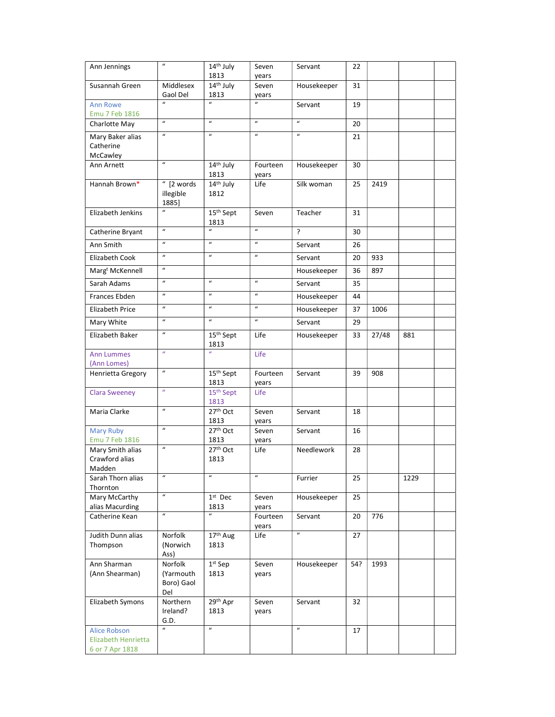| Ann Jennings                                                  | $\boldsymbol{u}$                          | $\overline{14}$ <sup>th</sup> July | Seven             | Servant          | 22  |       |      |  |
|---------------------------------------------------------------|-------------------------------------------|------------------------------------|-------------------|------------------|-----|-------|------|--|
| Susannah Green                                                | Middlesex                                 | 1813<br>14th July                  | years<br>Seven    |                  | 31  |       |      |  |
|                                                               | Gaol Del                                  | 1813                               | years             | Housekeeper      |     |       |      |  |
| <b>Ann Rowe</b><br>Emu 7 Feb 1816                             | $\mathbf{u}$                              | $\mathbf{u}$                       | $\boldsymbol{u}$  | Servant          | 19  |       |      |  |
| Charlotte May                                                 | $\boldsymbol{u}$                          | $\boldsymbol{u}$                   | $\boldsymbol{u}$  | $\boldsymbol{u}$ | 20  |       |      |  |
| Mary Baker alias<br>Catherine                                 | $\boldsymbol{u}$                          | $\boldsymbol{u}$                   | $\boldsymbol{u}$  | $\overline{u}$   | 21  |       |      |  |
| McCawley                                                      |                                           |                                    |                   |                  |     |       |      |  |
| Ann Arnett                                                    | $\boldsymbol{u}$                          | 14th July<br>1813                  | Fourteen<br>years | Housekeeper      | 30  |       |      |  |
| Hannah Brown*                                                 | $\sqrt{n}$ [2 words<br>illegible<br>1885] | 14th July<br>1812                  | Life              | Silk woman       | 25  | 2419  |      |  |
| Elizabeth Jenkins                                             | $\overline{u}$                            | 15 <sup>th</sup> Sept<br>1813      | Seven             | Teacher          | 31  |       |      |  |
| Catherine Bryant                                              | $\overline{u}$                            | $\boldsymbol{u}$                   | $\boldsymbol{u}$  | ?                | 30  |       |      |  |
| Ann Smith                                                     | $\boldsymbol{u}$                          | $\boldsymbol{u}$                   | $\overline{u}$    | Servant          | 26  |       |      |  |
| Elizabeth Cook                                                | $\boldsymbol{u}$                          | $\overline{u}$                     | $\boldsymbol{u}$  | Servant          | 20  | 933   |      |  |
| Marg <sup>t</sup> McKennell                                   | $\boldsymbol{u}$                          |                                    |                   | Housekeeper      | 36  | 897   |      |  |
| Sarah Adams                                                   | $\boldsymbol{u}$                          | $\boldsymbol{u}$                   | $\boldsymbol{u}$  | Servant          | 35  |       |      |  |
| Frances Ebden                                                 | $\overline{u}$                            | $\overline{u}$                     | $\overline{u}$    | Housekeeper      | 44  |       |      |  |
| Elizabeth Price                                               | $\boldsymbol{u}$                          | $\boldsymbol{u}$                   | $\boldsymbol{u}$  | Housekeeper      | 37  | 1006  |      |  |
| Mary White                                                    | $\boldsymbol{u}$                          | $\boldsymbol{u}$                   | $\boldsymbol{u}$  | Servant          | 29  |       |      |  |
| Elizabeth Baker                                               | $\boldsymbol{u}$                          | 15 <sup>th</sup> Sept<br>1813      | Life              | Housekeeper      | 33  | 27/48 | 881  |  |
| <b>Ann Lummes</b><br>(Ann Lomes)                              | $\mathbf{u}$                              | $\boldsymbol{u}$                   | Life              |                  |     |       |      |  |
| Henrietta Gregory                                             | $\boldsymbol{u}$                          | 15 <sup>th</sup> Sept<br>1813      | Fourteen<br>years | Servant          | 39  | 908   |      |  |
| <b>Clara Sweeney</b>                                          | $\boldsymbol{u}$                          | 15 <sup>th</sup> Sept<br>1813      | Life              |                  |     |       |      |  |
| Maria Clarke                                                  | $\boldsymbol{u}$                          | 27 <sup>th</sup> Oct<br>1813       | Seven<br>years    | Servant          | 18  |       |      |  |
| <b>Mary Ruby</b><br>Emu 7 Feb 1816                            | $\boldsymbol{u}$                          | 27 <sup>th</sup> Oct<br>1813       | Seven<br>years    | Servant          | 16  |       |      |  |
| Mary Smith alias                                              | $\boldsymbol{u}$                          | 27th Oct                           | Life              | Needlework       | 28  |       |      |  |
| Crawford alias<br>Madden                                      |                                           | 1813                               |                   |                  |     |       |      |  |
| Sarah Thorn alias<br>Thornton                                 | $\boldsymbol{u}$                          | $\boldsymbol{u}$                   | $\boldsymbol{u}$  | Furrier          | 25  |       | 1229 |  |
| Mary McCarthy                                                 | $\overline{u}$                            | $1st$ Dec                          | Seven             | Housekeeper      | 25  |       |      |  |
| alias Macurding<br>Catherine Kean                             | $\boldsymbol{u}$                          | 1813<br>$\boldsymbol{u}$           | years<br>Fourteen | Servant          | 20  | 776   |      |  |
| Judith Dunn alias                                             | Norfolk                                   | 17th Aug                           | years<br>Life     | $\overline{u}$   | 27  |       |      |  |
| Thompson                                                      | (Norwich<br>Ass)                          | 1813                               |                   |                  |     |       |      |  |
| Ann Sharman<br>(Ann Shearman)                                 | Norfolk<br>(Yarmouth<br>Boro) Gaol<br>Del | $1st$ Sep<br>1813                  | Seven<br>years    | Housekeeper      | 54? | 1993  |      |  |
| Elizabeth Symons                                              | Northern<br>Ireland?<br>G.D.              | 29th Apr<br>1813                   | Seven<br>years    | Servant          | 32  |       |      |  |
| <b>Alice Robson</b><br>Elizabeth Henrietta<br>6 or 7 Apr 1818 | $\overline{u}$                            | $\boldsymbol{u}$                   |                   | $\boldsymbol{u}$ | 17  |       |      |  |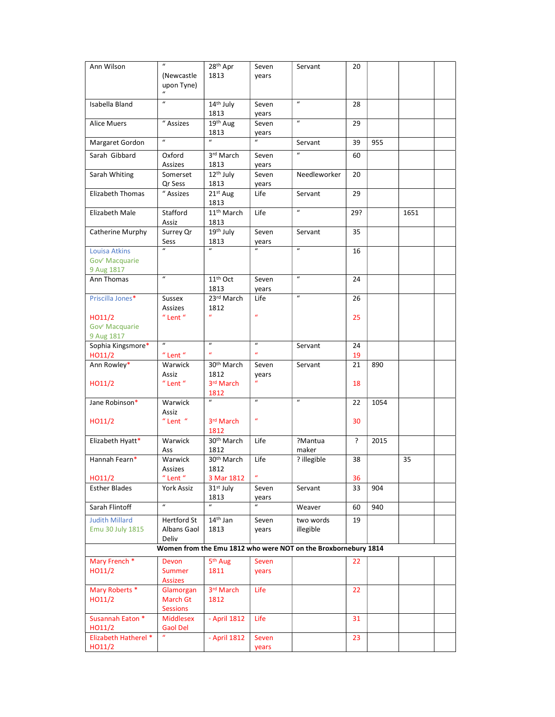| Ann Wilson                 | $\boldsymbol{u}$        | 28 <sup>th</sup> Apr           | Seven                     | Servant                                                        | 20  |      |      |  |
|----------------------------|-------------------------|--------------------------------|---------------------------|----------------------------------------------------------------|-----|------|------|--|
|                            | (Newcastle              | 1813                           | years                     |                                                                |     |      |      |  |
|                            | upon Tyne)              |                                |                           |                                                                |     |      |      |  |
|                            | $\boldsymbol{u}$        |                                |                           |                                                                |     |      |      |  |
| Isabella Bland             | $\boldsymbol{u}$        | 14 <sup>th</sup> July          | Seven                     | $\boldsymbol{u}$                                               | 28  |      |      |  |
|                            |                         | 1813                           | years                     |                                                                |     |      |      |  |
| <b>Alice Muers</b>         | " Assizes               | 19 <sup>th</sup> Aug           | Seven                     | $\boldsymbol{u}$                                               | 29  |      |      |  |
|                            |                         | 1813                           | years                     |                                                                |     |      |      |  |
| Margaret Gordon            | $\boldsymbol{u}$        | $\boldsymbol{u}$               | $\mathbf{u}$              | Servant                                                        | 39  | 955  |      |  |
| Sarah Gibbard              | Oxford                  | 3rd March                      | Seven                     | $\boldsymbol{u}$                                               | 60  |      |      |  |
|                            | Assizes                 | 1813                           |                           |                                                                |     |      |      |  |
|                            |                         | $12th$ July                    | years                     |                                                                |     |      |      |  |
| Sarah Whiting              | Somerset<br>Qr Sess     | 1813                           | Seven                     | Needleworker                                                   | 20  |      |      |  |
| Elizabeth Thomas           | " Assizes               | 21st Aug                       | years<br>Life             | Servant                                                        | 29  |      |      |  |
|                            |                         | 1813                           |                           |                                                                |     |      |      |  |
| Elizabeth Male             | Stafford                | 11 <sup>th</sup> March         | Life                      | $\overline{u}$                                                 | 29? |      | 1651 |  |
|                            |                         | 1813                           |                           |                                                                |     |      |      |  |
|                            | Assiz                   | 19th July                      | Seven                     | Servant                                                        | 35  |      |      |  |
| Catherine Murphy           | Surrey Qr               |                                |                           |                                                                |     |      |      |  |
|                            | Sess<br>$\mathbf{u}$    | 1813<br>$\boldsymbol{u}$       | years<br>$\boldsymbol{u}$ | $\boldsymbol{u}$                                               |     |      |      |  |
| <b>Louisa Atkins</b>       |                         |                                |                           |                                                                | 16  |      |      |  |
| Gov <sup>r</sup> Macquarie |                         |                                |                           |                                                                |     |      |      |  |
| 9 Aug 1817                 | $\boldsymbol{u}$        |                                |                           | $\boldsymbol{u}$                                               |     |      |      |  |
| Ann Thomas                 |                         | 11 <sup>th</sup> Oct           | Seven                     |                                                                | 24  |      |      |  |
|                            |                         | 1813                           | years                     | $\boldsymbol{u}$                                               |     |      |      |  |
| Priscilla Jones*           | Sussex                  | 23rd March                     | Life                      |                                                                | 26  |      |      |  |
|                            | Assizes<br>$"$ Lent $"$ | 1812<br>$\boldsymbol{u}$       | $\boldsymbol{u}$          |                                                                |     |      |      |  |
| HO11/2                     |                         |                                |                           |                                                                | 25  |      |      |  |
| Gov <sup>r</sup> Macquarie |                         |                                |                           |                                                                |     |      |      |  |
| 9 Aug 1817                 | $\boldsymbol{u}$        | $\boldsymbol{u}$               | $\boldsymbol{u}$          |                                                                |     |      |      |  |
| Sophia Kingsmore*          | $"$ Lent $"$            | $\boldsymbol{u}$               | $\boldsymbol{u}$          | Servant                                                        | 24  |      |      |  |
| HO11/2                     |                         |                                |                           |                                                                | 19  |      |      |  |
| Ann Rowley*                | Warwick                 | 30 <sup>th</sup> March<br>1812 | Seven                     | Servant                                                        | 21  | 890  |      |  |
| HO11/2                     | Assiz<br>$"$ Lent $"$   | 3rd March                      | years                     |                                                                | 18  |      |      |  |
|                            |                         |                                |                           |                                                                |     |      |      |  |
| Jane Robinson*             | Warwick                 | 1812<br>$\mathbf{u}$           | $\overline{u}$            | $\boldsymbol{u}$                                               | 22  | 1054 |      |  |
|                            | Assiz                   |                                |                           |                                                                |     |      |      |  |
| HO11/2                     | $"$ Lent $"$            | 3 <sup>rd</sup> March          | $\boldsymbol{u}$          |                                                                | 30  |      |      |  |
|                            |                         | 1812                           |                           |                                                                |     |      |      |  |
|                            | Warwick                 | 30 <sup>th</sup> March         | Life                      | ?Mantua                                                        | ?   | 2015 |      |  |
| Elizabeth Hyatt*           |                         | 1812                           |                           | maker                                                          |     |      |      |  |
| Hannah Fearn*              | Ass<br>Warwick          | 30 <sup>th</sup> March         | Life                      |                                                                | 38  |      | 35   |  |
|                            |                         |                                |                           | ? illegible                                                    |     |      |      |  |
| HO11/2                     | Assizes<br>$"$ Lent $"$ | 1812<br>3 Mar 1812             | $\boldsymbol{u}$          |                                                                | 36  |      |      |  |
| <b>Esther Blades</b>       |                         | 31 <sup>st</sup> July          | Seven                     | Servant                                                        | 33  | 904  |      |  |
|                            | York Assiz              |                                |                           |                                                                |     |      |      |  |
| Sarah Flintoff             | $\overline{u}$          | 1813<br>$\boldsymbol{u}$       | years<br>$\mathbf{u}$     | Weaver                                                         |     | 940  |      |  |
|                            |                         |                                |                           |                                                                | 60  |      |      |  |
| <b>Judith Millard</b>      | Hertford St             | $14th$ Jan                     | Seven                     | two words                                                      | 19  |      |      |  |
| Emu 30 July 1815           | Albans Gaol             | 1813                           | years                     | illegible                                                      |     |      |      |  |
|                            | Deliv                   |                                |                           |                                                                |     |      |      |  |
|                            |                         |                                |                           | Women from the Emu 1812 who were NOT on the Broxbornebury 1814 |     |      |      |  |
| Mary French <sup>*</sup>   | Devon                   | 5 <sup>th</sup> Aug            | Seven                     |                                                                | 22  |      |      |  |
| HO11/2                     | Summer                  | 1811                           | years                     |                                                                |     |      |      |  |
|                            | <b>Assizes</b>          |                                |                           |                                                                |     |      |      |  |
| Mary Roberts *             | Glamorgan               | 3rd March                      | Life                      |                                                                | 22  |      |      |  |
| HO11/2                     | March Gt                | 1812                           |                           |                                                                |     |      |      |  |
|                            | <b>Sessions</b>         |                                |                           |                                                                |     |      |      |  |
| Susannah Eaton *           | Middlesex               | - April 1812                   | Life                      |                                                                | 31  |      |      |  |
| HO11/2                     | <b>Gaol Del</b>         |                                |                           |                                                                |     |      |      |  |
| Elizabeth Hatherel *       |                         | - April 1812                   | Seven                     |                                                                | 23  |      |      |  |
| HO11/2                     |                         |                                | years                     |                                                                |     |      |      |  |
|                            |                         |                                |                           |                                                                |     |      |      |  |